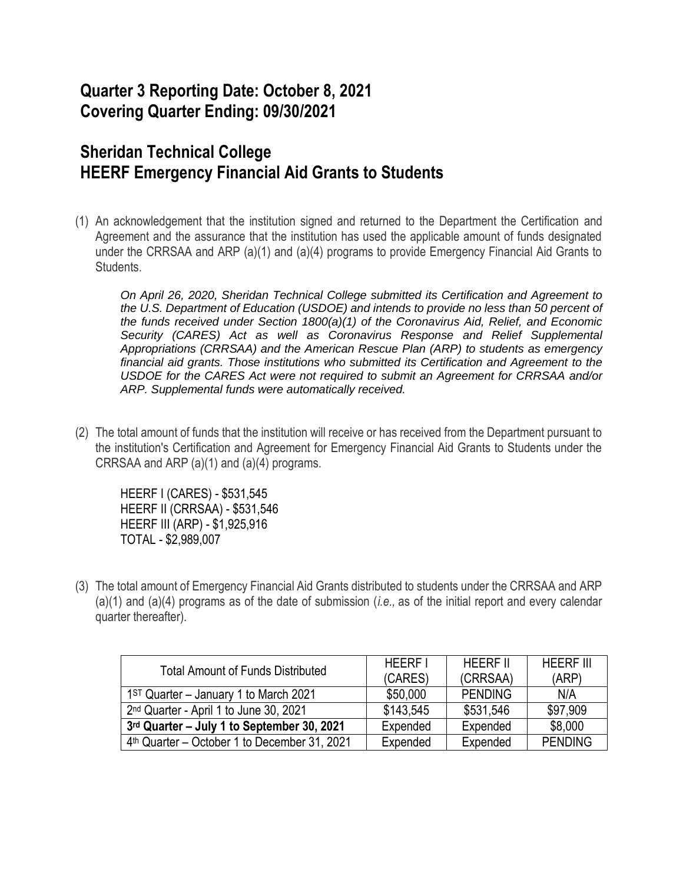## **Quarter 3 Reporting Date: October 8, 2021 Covering Quarter Ending: 09/30/2021**

## **Sheridan Technical College HEERF Emergency Financial Aid Grants to Students**

(1) An acknowledgement that the institution signed and returned to the Department the Certification and Agreement and the assurance that the institution has used the applicable amount of funds designated under the CRRSAA and ARP (a)(1) and (a)(4) programs to provide Emergency Financial Aid Grants to Students.

*On April 26, 2020, Sheridan Technical College submitted its Certification and Agreement to the U.S. Department of Education (USDOE) and intends to provide no less than 50 percent of the funds received under Section 1800(a)(1) of the Coronavirus Aid, Relief, and Economic Security (CARES) Act as well as Coronavirus Response and Relief Supplemental Appropriations (CRRSAA) and the American Rescue Plan (ARP) to students as emergency financial aid grants. Those institutions who submitted its Certification and Agreement to the USDOE for the CARES Act were not required to submit an Agreement for CRRSAA and/or ARP. Supplemental funds were automatically received.*

(2) The total amount of funds that the institution will receive or has received from the Department pursuant to the institution's Certification and Agreement for Emergency Financial Aid Grants to Students under the CRRSAA and ARP (a)(1) and (a)(4) programs.

HEERF I (CARES) - \$531,545 HEERF II (CRRSAA) - \$531,546 HEERF III (ARP) - \$1,925,916 TOTAL - \$2,989,007

(3) The total amount of Emergency Financial Aid Grants distributed to students under the CRRSAA and ARP (a)(1) and (a)(4) programs as of the date of submission (*i.e.,* as of the initial report and every calendar quarter thereafter).

| <b>Total Amount of Funds Distributed</b>                 | <b>HFFRFI</b> | <b>HFFRF II</b> | <b>HEFRE III</b> |
|----------------------------------------------------------|---------------|-----------------|------------------|
|                                                          | (CARES)       | (CRRSAA)        | (ARP)            |
| $1ST$ Quarter – January 1 to March 2021                  | \$50,000      | <b>PENDING</b>  | N/A              |
| 2 <sup>nd</sup> Quarter - April 1 to June 30, 2021       | \$143,545     | \$531,546       | \$97,909         |
| 3rd Quarter - July 1 to September 30, 2021               | Expended      | Expended        | \$8,000          |
| 4 <sup>th</sup> Quarter – October 1 to December 31, 2021 | Expended      | Expended        | <b>PENDING</b>   |